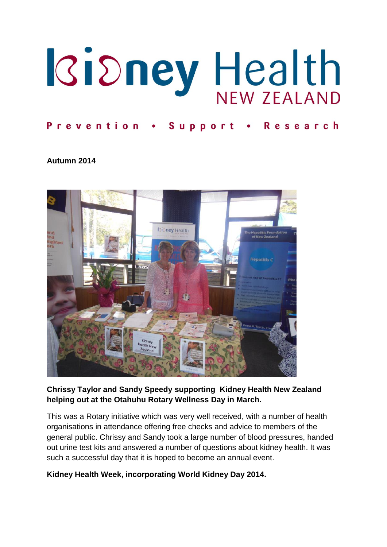

# Prevention . Support . Research

#### **Autumn 2014**



#### **Chrissy Taylor and Sandy Speedy supporting Kidney Health New Zealand helping out at the Otahuhu Rotary Wellness Day in March.**

This was a Rotary initiative which was very well received, with a number of health organisations in attendance offering free checks and advice to members of the general public. Chrissy and Sandy took a large number of blood pressures, handed out urine test kits and answered a number of questions about kidney health. It was such a successful day that it is hoped to become an annual event.

#### **Kidney Health Week, incorporating World Kidney Day 2014.**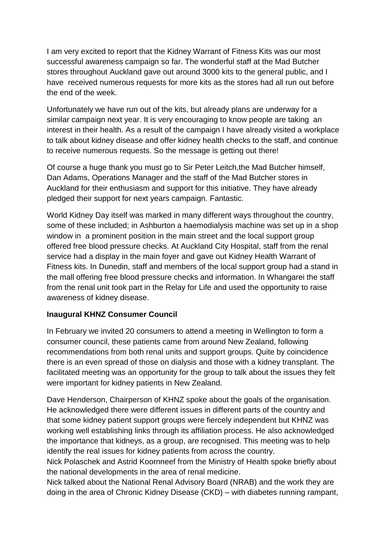I am very excited to report that the Kidney Warrant of Fitness Kits was our most successful awareness campaign so far. The wonderful staff at the Mad Butcher stores throughout Auckland gave out around 3000 kits to the general public, and I have received numerous requests for more kits as the stores had all run out before the end of the week.

Unfortunately we have run out of the kits, but already plans are underway for a similar campaign next year. It is very encouraging to know people are taking an interest in their health. As a result of the campaign I have already visited a workplace to talk about kidney disease and offer kidney health checks to the staff, and continue to receive numerous requests. So the message is getting out there!

Of course a huge thank you must go to Sir Peter Leitch,the Mad Butcher himself, Dan Adams, Operations Manager and the staff of the Mad Butcher stores in Auckland for their enthusiasm and support for this initiative. They have already pledged their support for next years campaign. Fantastic.

World Kidney Day itself was marked in many different ways throughout the country, some of these included; in Ashburton a haemodialysis machine was set up in a shop window in a prominent position in the main street and the local support group offered free blood pressure checks. At Auckland City Hospital, staff from the renal service had a display in the main foyer and gave out Kidney Health Warrant of Fitness kits. In Dunedin, staff and members of the local support group had a stand in the mall offering free blood pressure checks and information. In Whangarei the staff from the renal unit took part in the Relay for Life and used the opportunity to raise awareness of kidney disease.

#### **Inaugural KHNZ Consumer Council**

In February we invited 20 consumers to attend a meeting in Wellington to form a consumer council, these patients came from around New Zealand, following recommendations from both renal units and support groups. Quite by coincidence there is an even spread of those on dialysis and those with a kidney transplant. The facilitated meeting was an opportunity for the group to talk about the issues they felt were important for kidney patients in New Zealand.

Dave Henderson, Chairperson of KHNZ spoke about the goals of the organisation. He acknowledged there were different issues in different parts of the country and that some kidney patient support groups were fiercely independent but KHNZ was working well establishing links through its affiliation process. He also acknowledged the importance that kidneys, as a group, are recognised. This meeting was to help identify the real issues for kidney patients from across the country.

Nick Polaschek and Astrid Koornneef from the Ministry of Health spoke briefly about the national developments in the area of renal medicine.

Nick talked about the National Renal Advisory Board (NRAB) and the work they are doing in the area of Chronic Kidney Disease (CKD) – with diabetes running rampant,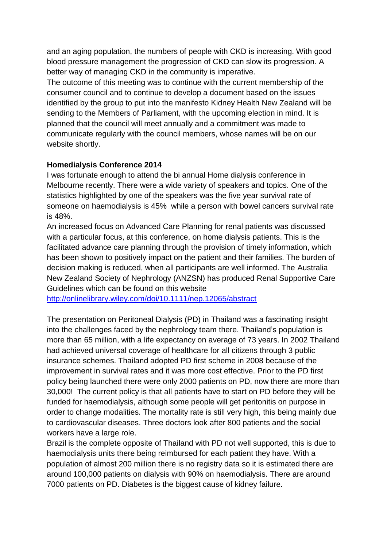and an aging population, the numbers of people with CKD is increasing. With good blood pressure management the progression of CKD can slow its progression. A better way of managing CKD in the community is imperative.

The outcome of this meeting was to continue with the current membership of the consumer council and to continue to develop a document based on the issues identified by the group to put into the manifesto Kidney Health New Zealand will be sending to the Members of Parliament, with the upcoming election in mind. It is planned that the council will meet annually and a commitment was made to communicate regularly with the council members, whose names will be on our website shortly.

#### **Homedialysis Conference 2014**

I was fortunate enough to attend the bi annual Home dialysis conference in Melbourne recently. There were a wide variety of speakers and topics. One of the statistics highlighted by one of the speakers was the five year survival rate of someone on haemodialysis is 45% while a person with bowel cancers survival rate is 48%.

An increased focus on Advanced Care Planning for renal patients was discussed with a particular focus, at this conference, on home dialysis patients. This is the facilitated advance care planning through the provision of timely information, which has been shown to positively impact on the patient and their families. The burden of decision making is reduced, when all participants are well informed. The Australia New Zealand Society of Nephrology (ANZSN) has produced Renal Supportive Care Guidelines which can be found on this website

<http://onlinelibrary.wiley.com/doi/10.1111/nep.12065/abstract>

The presentation on Peritoneal Dialysis (PD) in Thailand was a fascinating insight into the challenges faced by the nephrology team there. Thailand's population is more than 65 million, with a life expectancy on average of 73 years. In 2002 Thailand had achieved universal coverage of healthcare for all citizens through 3 public insurance schemes. Thailand adopted PD first scheme in 2008 because of the improvement in survival rates and it was more cost effective. Prior to the PD first policy being launched there were only 2000 patients on PD, now there are more than 30,000! The current policy is that all patients have to start on PD before they will be funded for haemodialysis, although some people will get peritonitis on purpose in order to change modalities. The mortality rate is still very high, this being mainly due to cardiovascular diseases. Three doctors look after 800 patients and the social workers have a large role.

Brazil is the complete opposite of Thailand with PD not well supported, this is due to haemodialysis units there being reimbursed for each patient they have. With a population of almost 200 million there is no registry data so it is estimated there are around 100,000 patients on dialysis with 90% on haemodialysis. There are around 7000 patients on PD. Diabetes is the biggest cause of kidney failure.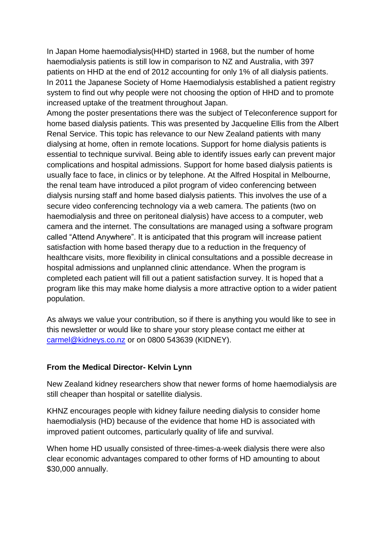In Japan Home haemodialysis(HHD) started in 1968, but the number of home haemodialysis patients is still low in comparison to NZ and Australia, with 397 patients on HHD at the end of 2012 accounting for only 1% of all dialysis patients. In 2011 the Japanese Society of Home Haemodialysis established a patient registry system to find out why people were not choosing the option of HHD and to promote increased uptake of the treatment throughout Japan.

Among the poster presentations there was the subject of Teleconference support for home based dialysis patients. This was presented by Jacqueline Ellis from the Albert Renal Service. This topic has relevance to our New Zealand patients with many dialysing at home, often in remote locations. Support for home dialysis patients is essential to technique survival. Being able to identify issues early can prevent major complications and hospital admissions. Support for home based dialysis patients is usually face to face, in clinics or by telephone. At the Alfred Hospital in Melbourne, the renal team have introduced a pilot program of video conferencing between dialysis nursing staff and home based dialysis patients. This involves the use of a secure video conferencing technology via a web camera. The patients (two on haemodialysis and three on peritoneal dialysis) have access to a computer, web camera and the internet. The consultations are managed using a software program called "Attend Anywhere". It is anticipated that this program will increase patient satisfaction with home based therapy due to a reduction in the frequency of healthcare visits, more flexibility in clinical consultations and a possible decrease in hospital admissions and unplanned clinic attendance. When the program is completed each patient will fill out a patient satisfaction survey. It is hoped that a program like this may make home dialysis a more attractive option to a wider patient population.

As always we value your contribution, so if there is anything you would like to see in this newsletter or would like to share your story please contact me either at [carmel@kidneys.co.nz](mailto:carmel@kidneys.co.nz) or on 0800 543639 (KIDNEY).

#### **From the Medical Director- Kelvin Lynn**

New Zealand kidney researchers show that newer forms of home haemodialysis are still cheaper than hospital or satellite dialysis.

KHNZ encourages people with kidney failure needing dialysis to consider home haemodialysis (HD) because of the evidence that home HD is associated with improved patient outcomes, particularly quality of life and survival.

When home HD usually consisted of three-times-a-week dialysis there were also clear economic advantages compared to other forms of HD amounting to about \$30,000 annually.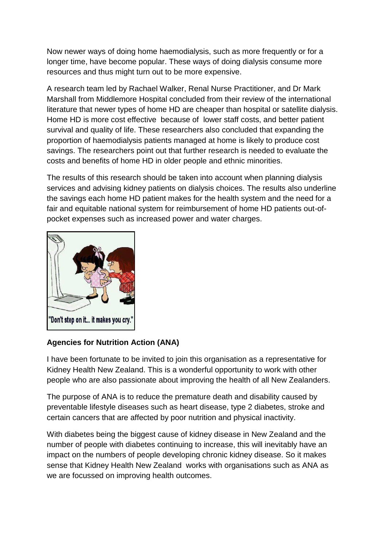Now newer ways of doing home haemodialysis, such as more frequently or for a longer time, have become popular. These ways of doing dialysis consume more resources and thus might turn out to be more expensive.

A research team led by Rachael Walker, Renal Nurse Practitioner, and Dr Mark Marshall from Middlemore Hospital concluded from their review of the international literature that newer types of home HD are cheaper than hospital or satellite dialysis. Home HD is more cost effective because of lower staff costs, and better patient survival and quality of life. These researchers also concluded that expanding the proportion of haemodialysis patients managed at home is likely to produce cost savings. The researchers point out that further research is needed to evaluate the costs and benefits of home HD in older people and ethnic minorities.

The results of this research should be taken into account when planning dialysis services and advising kidney patients on dialysis choices. The results also underline the savings each home HD patient makes for the health system and the need for a fair and equitable national system for reimbursement of home HD patients out-ofpocket expenses such as increased power and water charges.



# **Agencies for Nutrition Action (ANA)**

I have been fortunate to be invited to join this organisation as a representative for Kidney Health New Zealand. This is a wonderful opportunity to work with other people who are also passionate about improving the health of all New Zealanders.

The purpose of ANA is to reduce the premature death and disability caused by preventable lifestyle diseases such as heart disease, type 2 diabetes, stroke and certain cancers that are affected by poor nutrition and physical inactivity.

With diabetes being the biggest cause of kidney disease in New Zealand and the number of people with diabetes continuing to increase, this will inevitably have an impact on the numbers of people developing chronic kidney disease. So it makes sense that Kidney Health New Zealand works with organisations such as ANA as we are focussed on improving health outcomes.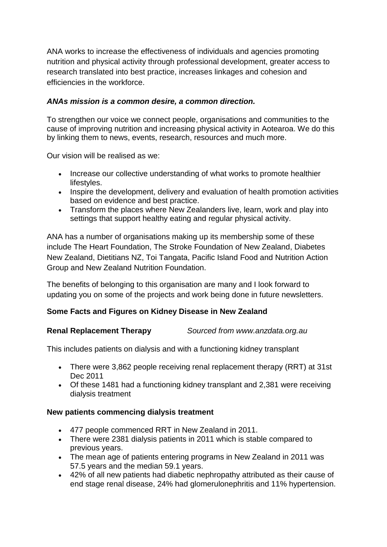ANA works to increase the effectiveness of individuals and agencies promoting nutrition and physical activity through professional development, greater access to research translated into best practice, increases linkages and cohesion and efficiencies in the workforce.

# *ANAs mission is a common desire, a common direction.*

To strengthen our voice we connect people, organisations and communities to the cause of improving nutrition and increasing physical activity in Aotearoa. We do this by linking them to news, events, research, resources and much more.

Our vision will be realised as we:

- Increase our collective understanding of what works to promote healthier lifestyles.
- Inspire the development, delivery and evaluation of health promotion activities based on evidence and best practice.
- Transform the places where New Zealanders live, learn, work and play into settings that support healthy eating and regular physical activity.

ANA has a number of organisations making up its membership some of these include The Heart Foundation, The Stroke Foundation of New Zealand, Diabetes New Zealand, Dietitians NZ, Toi Tangata, Pacific Island Food and Nutrition Action Group and New Zealand Nutrition Foundation.

The benefits of belonging to this organisation are many and I look forward to updating you on some of the projects and work being done in future newsletters.

#### **Some Facts and Figures on Kidney Disease in New Zealand**

#### **Renal Replacement Therapy** *Sourced from www.anzdata.org.au*

This includes patients on dialysis and with a functioning kidney transplant

- There were 3,862 people receiving renal replacement therapy (RRT) at 31st Dec 2011
- Of these 1481 had a functioning kidney transplant and 2,381 were receiving dialysis treatment

#### **New patients commencing dialysis treatment**

- 477 people commenced RRT in New Zealand in 2011.
- There were 2381 dialysis patients in 2011 which is stable compared to previous years.
- The mean age of patients entering programs in New Zealand in 2011 was 57.5 years and the median 59.1 years.
- 42% of all new patients had diabetic nephropathy attributed as their cause of end stage renal disease, 24% had glomerulonephritis and 11% hypertension.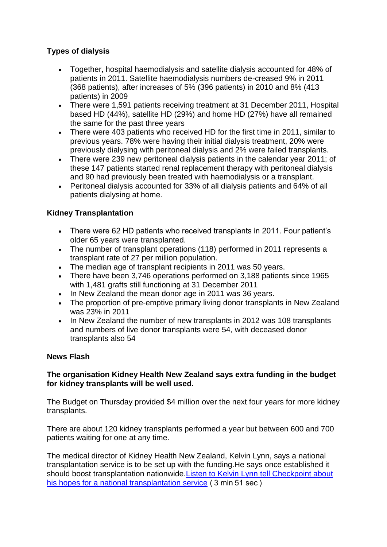# **Types of dialysis**

- Together, hospital haemodialysis and satellite dialysis accounted for 48% of patients in 2011. Satellite haemodialysis numbers de-creased 9% in 2011 (368 patients), after increases of 5% (396 patients) in 2010 and 8% (413 patients) in 2009
- There were 1,591 patients receiving treatment at 31 December 2011, Hospital based HD (44%), satellite HD (29%) and home HD (27%) have all remained the same for the past three years
- There were 403 patients who received HD for the first time in 2011, similar to previous years. 78% were having their initial dialysis treatment, 20% were previously dialysing with peritoneal dialysis and 2% were failed transplants.
- There were 239 new peritoneal dialysis patients in the calendar year 2011; of these 147 patients started renal replacement therapy with peritoneal dialysis and 90 had previously been treated with haemodialysis or a transplant.
- Peritoneal dialysis accounted for 33% of all dialysis patients and 64% of all patients dialysing at home.

# **Kidney Transplantation**

- There were 62 HD patients who received transplants in 2011. Four patient's older 65 years were transplanted.
- The number of transplant operations (118) performed in 2011 represents a transplant rate of 27 per million population.
- The median age of transplant recipients in 2011 was 50 years.
- There have been 3,746 operations performed on 3,188 patients since 1965 with 1,481 grafts still functioning at 31 December 2011
- In New Zealand the mean donor age in 2011 was 36 years.
- The proportion of pre-emptive primary living donor transplants in New Zealand was 23% in 2011
- In New Zealand the number of new transplants in 2012 was 108 transplants and numbers of live donor transplants were 54, with deceased donor transplants also 54

#### **News Flash**

#### **The organisation Kidney Health New Zealand says extra funding in the budget for kidney transplants will be well used.**

The Budget on Thursday provided \$4 million over the next four years for more kidney transplants.

There are about 120 kidney transplants performed a year but between 600 and 700 patients waiting for one at any time.

The medical director of Kidney Health New Zealand, Kelvin Lynn, says a national transplantation service is to be set up with the funding.He says once established it should boost transplantation nationwide[.Listen to Kelvin Lynn tell Checkpoint about](http://www.radionz.co.nz/national/programmes/checkpoint/audio/2596244/kidney-health-group-welcomes-funds-boost-for-transplants)  [his hopes for a national transplantation service](http://www.radionz.co.nz/national/programmes/checkpoint/audio/2596244/kidney-health-group-welcomes-funds-boost-for-transplants) ( 3 min 51 sec )